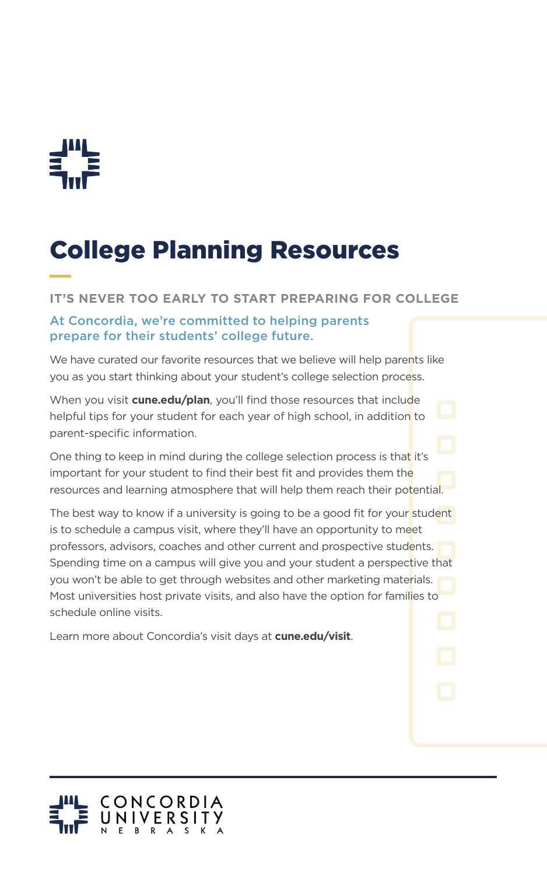

## College Planning Resources

## **IT'S NEVER TOO EARLY TO START PREPARING FOR COLLEGE**

## At Concordia, we're committed to helping parents prepare for their students' college future.

We have curated our favorite resources that we believe will help parents like you as you start thinking about your student's college selection process.

When you visit **cune.edu/plan**, you'll find those resources that include helpful tips for your student for each year of high school, in addition to parent-specific information.

One thing to keep in mind during the college selection process is that it's important for your student to find their best fit and provides them the resources and learning atmosphere that will help them reach their potential.

The best way to know if a university is going to be a good fit for your student is to schedule a campus visit, where they'll have an opportunity to meet professors, advisors, coaches and other current and prospective students. Spending time on a campus will give you and your student a perspective that you won't be able to get through websites and other marketing materials. Most universities host private visits, and also have the option for families to schedule online visits.

Learn more about Concordia's visit days at **cune.edu/visit**.